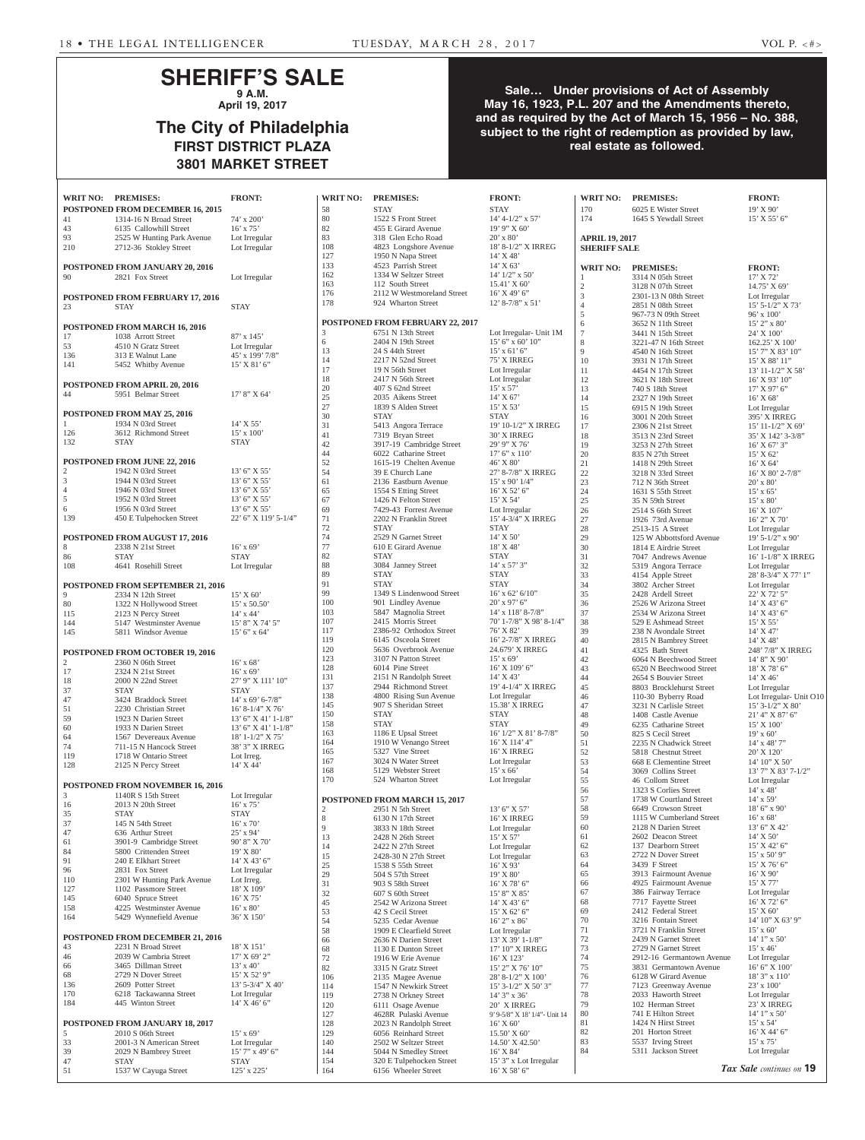## **SHERIFF'S SALE 9 A.M.**

**April 19, 2017**

# **The City of Philadelphia FIRST DISTRICT PLAZA 3801 MARKET STREET**

## **Sale… Under provisions of Act of Assembly May 16, 1923, P.L. 207 and the Amendments thereto, and as required by the Act of March 15, 1956 – No. 388, subject to the right of redemption as provided by law, real estate as followed.**

**WRIT NO: PREMISES: FRONT: WRIT NO: PREMISES: FRONT: WRIT NO: PREMISES: FRONT:**

|            | WRIT NO: PREMISES:                                   | <b>FRONT:</b>                           |
|------------|------------------------------------------------------|-----------------------------------------|
|            | POSTPONED FROM DECEMBER 16, 2015                     |                                         |
| 41         | 1314-16 N Broad Street                               | 74' x 200'                              |
| 43         | 6135 Callowhill Street                               | $16'$ x $75'$                           |
| 93         | 2525 W Hunting Park Avenue                           | Lot Irregular                           |
| 210        | 2712-36 Stokley Street                               | Lot Irregular                           |
|            |                                                      |                                         |
|            | POSTPONED FROM JANUARY 20, 2016                      |                                         |
| 90         | 2821 Fox Street                                      | Lot Irregular                           |
|            |                                                      |                                         |
|            | POSTPONED FROM FEBRUARY 17, 2016                     |                                         |
| 23         | <b>STAY</b>                                          | <b>STAY</b>                             |
|            |                                                      |                                         |
| 17         | POSTPONED FROM MARCH 16, 2016<br>1038 Arrott Street  | $87' \times 145'$                       |
| 53         | 4510 N Gratz Street                                  | Lot Irregular                           |
| 136        | 313 E Walnut Lane                                    | 45' x 199' 7/8"                         |
| 141        | 5452 Whitby Avenue                                   | $15'$ X $81'$ 6"                        |
|            |                                                      |                                         |
|            | POSTPONED FROM APRIL 20, 2016                        |                                         |
| 44         | 5951 Belmar Street                                   | $17'8''$ X 64'                          |
|            |                                                      |                                         |
| 1          | POSTPONED FROM MAY 25, 2016<br>1934 N 03rd Street    | 14' X 55'                               |
| 126        | 3612 Richmond Street                                 | 15' x 100'                              |
| 132        | <b>STAY</b>                                          | <b>STAY</b>                             |
|            |                                                      |                                         |
|            | <b>POSTPONED FROM JUNE 22, 2016</b>                  |                                         |
| 2          | 1942 N 03rd Street                                   | 13' 6" X 55'                            |
| 3          | 1944 N 03rd Street                                   | 13' 6" X 55'                            |
| 4          | 1946 N 03rd Street                                   | 13' 6" X 55'                            |
| 5          | 1952 N 03rd Street                                   | 13' 6" X 55'                            |
| 6          | 1956 N 03rd Street                                   | 13' 6" X 55'                            |
| 139        | 450 E Tulpehocken Street                             | 22' 6" X 119' 5-1/4"                    |
|            |                                                      |                                         |
| 8          | POSTPONED FROM AUGUST 17, 2016<br>2338 N 21st Street | $16'$ x 69'                             |
| 86         | <b>STAY</b>                                          | <b>STAY</b>                             |
| 108        | 4641 Rosehill Street                                 | Lot Irregular                           |
|            |                                                      |                                         |
|            | <b>POSTPONED FROM SEPTEMBER 21, 2016</b>             |                                         |
| 9          | 2334 N 12th Street                                   | 15' X 60'                               |
| 80         | 1322 N Hollywood Street                              | $15'$ x 50.50'                          |
| 115        | 2123 N Percy Street                                  | $14'$ x $44'$                           |
| 144        | 5147 Westminster Avenue<br>5811 Windsor Avenue       | 15' 8" X 74' 5"                         |
| 145        |                                                      | 15' 6''  x 64'                          |
|            | POSTPONED FROM OCTOBER 19, 2016                      |                                         |
| 2          | 2360 N 06th Street                                   | 16' x 68'                               |
| 17         | 2324 N 21st Street                                   | $16'$ x 69'                             |
| 18         | 2000 N 22nd Street                                   | 27' 9" X 111' 10"                       |
| 37         | <b>STAY</b>                                          | <b>STAY</b>                             |
| 47         | 3424 Braddock Street                                 | $14'$ x 69' 6-7/8"                      |
| 51         | 2230 Christian Street                                | 16' 8-1/4" X 76'                        |
| 59         | 1923 N Darien Street                                 | 13' 6" X 41' 1-1/8"                     |
| 60         | 1933 N Darien Street<br>1567 Devereaux Avenue        | 13' 6" X 41' 1-1/8"<br>18' 1-1/2" X 75' |
| 64<br>74   | 711-15 N Hancock Street                              | 38' 3" X IRREG                          |
| 119        | 1718 W Ontario Street                                | Lot Irreg.                              |
| 128        | 2125 N Percy Street                                  | 14' X 44'                               |
|            |                                                      |                                         |
|            | POSTPONED FROM NOVEMBER 16, 2016                     |                                         |
| 3          | 1140R S 15th Street                                  | Lot Irregular                           |
| 16         | 2013 N 20th Street                                   | $16'$ x $75'$                           |
| 35         | <b>STAY</b>                                          | <b>STAY</b>                             |
| 37<br>47   | 145 N 54th Street<br>636 Arthur Street               | $16'$ x $70'$<br>25' x 94'              |
| 61         | 3901-9 Cambridge Street                              | 90' 8" X 70'                            |
| 84         | 5800 Crittenden Street                               | 19' X 80'                               |
| 91         | 240 E Elkhart Street                                 | 14' X 43' 6"                            |
| 96         | 2831 Fox Street                                      | Lot Irregular                           |
| 110        | 2301 W Hunting Park Avenue                           | Lot Irreg.                              |
| 127        | 1102 Passmore Street                                 | 18' X 109'                              |
| 145        | 6040 Spruce Street                                   | 16' X 75'                               |
| 158        | 4225 Westminster Avenue                              | $16'$ x $80'$                           |
| 164        | 5429 Wynnefield Avenue                               | 36' X 150'                              |
|            | POSTPONED FROM DECEMBER 21, 2016                     |                                         |
| 43         | 2231 N Broad Street                                  | 18' X 151'                              |
| 46         | 2039 W Cambria Street                                | 17' X 69' 2"                            |
| 66         | 3465 Dillman Street                                  | $13'$ x 40'                             |
| 68         | 2729 N Dover Street                                  | 15' X 52' 9"                            |
| 136        | 2609 Potter Street                                   | 13' 5-3/4" X 40'                        |
| 170<br>184 | 6218 Tackawanna Street<br>445 Winton Street          | Lot Irregular<br>$14'$ X 46' 6"         |
|            |                                                      |                                         |
|            | POSTPONED FROM JANUARY 18, 2017                      |                                         |
| 5          | 2010 S 06th Street                                   | $15'$ x 69'                             |
| 33         | 2001-3 N American Street                             | Lot Irregular                           |
| 39         | 2029 N Bambrey Street                                | 15' 7" x 49' 6"                         |
| 47         | STAY                                                 | <b>STAY</b>                             |
| 51         | 1537 W Cayuga Street                                 | 125' x 225'                             |

| 58                  | <b>STAY</b>                                       | <b>STAY</b>                                    | 170                   | 6025 E Wister Street                             | 19' X 90'                        |
|---------------------|---------------------------------------------------|------------------------------------------------|-----------------------|--------------------------------------------------|----------------------------------|
| 80                  | 1522 S Front Street                               | $14' 4 - 1/2''$ x 57'                          | 174                   | 1645 S Yewdall Street                            | 15' X 55' 6''                    |
| 82                  | 455 E Girard Avenue                               | $19'$ 9" X 60"                                 |                       |                                                  |                                  |
| 83<br>108           | 318 Glen Echo Road<br>4823 Longshore Avenue       | $20'$ x 80'<br>18' 8-1/2" X IRREG              | <b>APRIL 19, 2017</b> |                                                  |                                  |
| 127                 | 1950 N Napa Street                                | $14'$ X 48'                                    | <b>SHERIFF SALE</b>   |                                                  |                                  |
| 133                 | 4523 Parrish Street                               | $14'$ X 63'                                    | <b>WRIT NO:</b>       | <b>PREMISES:</b>                                 | <b>FRONT:</b>                    |
| 162                 | 1334 W Seltzer Street                             | $14'$ $1/2''$ x 50'                            | $\mathbf{1}$          | 3314 N 05th Street                               | 17' X 72'                        |
| 163                 | 112 South Street                                  | 15.41' X 60'                                   | $\overline{2}$        | 3128 N 07th Street                               | $14.75'$ X 69'                   |
| 176<br>178          | 2112 W Westmoreland Street                        | $16'$ X 49' 6"                                 | 3                     | 2301-13 N 08th Street                            | Lot Irregular                    |
|                     | 924 Wharton Street                                | $12'$ 8-7/8" x 51'                             | $\overline{4}$        | 2851 N 08th Street                               | $15'$ 5-1/2" X                   |
|                     | <b>POSTPONED FROM FEBRUARY 22, 2017</b>           |                                                | 5<br>6                | 967-73 N 09th Street<br>3652 N 11th Street       | $96'$ x $100'$<br>$15'$ 2" x 80" |
| 3                   | 6751 N 13th Street                                | Lot Irregular- Unit 1M                         | $\tau$                | 3441 N 15th Street                               | $24'$ X $100'$                   |
| 6                   | 2404 N 19th Street                                | $15'$ 6" x 60' 10"                             | 8                     | 3221-47 N 16th Street                            | $162.25$ ' X 10                  |
| 13                  | 24 S 44th Street                                  | $15'$ x 61' 6"                                 | 9                     | 4540 N 16th Street                               | $15'7''$ X 83'                   |
| 14                  | 2217 N 52nd Street                                | 75' X IRREG                                    | 10                    | 3931 N 17th Street                               | 15' X 88' 11'                    |
| 17                  | 19 N 56th Street                                  | Lot Irregular                                  | 11                    | 4454 N 17th Street                               | 13' 11-1/2" >                    |
| 18<br>20            | 2417 N 56th Street<br>407 S 62nd Street           | Lot Irregular<br>$15' \times 57'$              | 12<br>13              | 3621 N 18th Street<br>740 S 18th Street          | 16' X 93' 10'<br>$17'$ X 97' 6"  |
| 25                  | 2035 Aikens Street                                | $14'$ X 67'                                    | 14                    | 2327 N 19th Street                               | $16'$ X 68'                      |
| 27                  | 1839 S Alden Street                               | 15' X 53'                                      | 15                    | 6915 N 19th Street                               | Lot Irregular                    |
| 30                  | <b>STAY</b>                                       | <b>STAY</b>                                    | 16                    | 3001 N 20th Street                               | <b>395' X IRRE</b>               |
| 31                  | 5413 Angora Terrace                               | 19' 10-1/2" X IRREG                            | 17                    | 2306 N 21st Street                               | $15'$ 11-1/2" $\lambda$          |
| 41                  | 7319 Bryan Street                                 | 30' X IRREG                                    | 18                    | 3513 N 23rd Street                               | 35' X 142' 3-                    |
| 42                  | 3917-19 Cambridge Street<br>6022 Catharine Street | 29' 9" X 76'                                   | 19                    | 3253 N 27th Street                               | $16'$ X 67' 3"                   |
| 44<br>52            | 1615-19 Chelten Avenue                            | $17'$ 6" x $110'$<br>46' X 80'                 | 20<br>21              | 835 N 27th Street<br>1418 N 29th Street          | 15' X 62'<br>$16'$ X 64'         |
| 54                  | 39 E Church Lane                                  | 27' 8-7/8" X IRREG                             | 22                    | 3218 N 33rd Street                               | 16' X 80' 2-7                    |
| 61                  | 2136 Eastburn Avenue                              | $15'$ x 90' $1/4$ "                            | 23                    | 712 N 36th Street                                | $20'$ x 80'                      |
| 65                  | 1554 S Etting Street                              | $16'$ X 52' 6"                                 | 24                    | 1631 S 55th Street                               | $15' \times 65'$                 |
| 67                  | 1426 N Felton Street                              | $15'$ X 54'                                    | 25                    | 35 N 59th Street                                 | $15' \times 80'$                 |
| 69                  | 7429-43 Forrest Avenue                            | Lot Irregular                                  | 26                    | 2514 S 66th Street                               | $16'$ X $107'$                   |
| 71<br>72            | 2202 N Franklin Street<br><b>STAY</b>             | 15' 4-3/4" X IRREG<br><b>STAY</b>              | 27                    | 1926 73rd Avenue                                 | 16' 2" X 70'                     |
| 74                  | 2529 N Garnet Street                              | $14'$ X 50'                                    | 28<br>29              | 2513-15 A Street<br>125 W Abbottsford Avenue     | Lot Irregular<br>$19'$ 5-1/2" x  |
| 77                  | 610 E Girard Avenue                               | 18' X 48'                                      | 30                    | 1814 E Airdrie Street                            | Lot Irregular                    |
| 82                  | <b>STAY</b>                                       | <b>STAY</b>                                    | 31                    | 7047 Andrews Avenue                              | $16' 1 - 1/8'' X$                |
| 88                  | 3084 Janney Street                                | $14'$ x 57' 3"                                 | 32                    | 5319 Angora Terrace                              | Lot Irregular                    |
| 89                  | <b>STAY</b>                                       | <b>STAY</b>                                    | 33                    | 4154 Apple Street                                | 28' 8-3/4" X                     |
| 91                  | <b>STAY</b>                                       | <b>STAY</b>                                    | 34                    | 3802 Archer Street                               | Lot Irregular                    |
| 99<br>100           | 1349 S Lindenwood Street<br>901 Lindley Avenue    | $16'$ x 62' $6/10'$<br>$20'$ x 97' 6"          | 35<br>36              | 2428 Ardell Street                               | 22' X 72' 5"                     |
| 103                 | 5847 Magnolia Street                              | $14'$ x $118'$ 8-7/8"                          | 37                    | 2526 W Arizona Street<br>2534 W Arizona Street   | $14'$ X 43' 6"<br>$14'$ X 43' 6" |
| 107                 | 2415 Morris Street                                | 70' 1-7/8" X 98' 8-1/4"                        | 38                    | 529 E Ashmead Street                             | 15' X 55'                        |
| 117                 | 2386-92 Orthodox Street                           | 76' X 82'                                      | 39                    | 238 N Avondale Street                            | $14'$ X $47'$                    |
| 119                 | 6145 Osceola Street                               | 16' 2-7/8" X IRREG                             | 40                    | 2815 N Bambrey Street                            | 14' X 48'                        |
| 120                 | 5636 Overbrook Avenue                             | 24.679' X IRREG                                | 41                    | 4325 Bath Street                                 | 248' 7/8" X I                    |
| 123<br>128          | 3107 N Patton Street<br>6014 Pine Street          | $15'$ x 69'<br>$16'$ X $109'$ 6"               | 42                    | 6064 N Beechwood Street                          | $14'$ 8" X 90"                   |
| 131                 | 2151 N Randolph Street                            | 14' X 43'                                      | 43<br>44              | 6520 N Beechwood Street<br>2654 S Bouvier Street | 18' X 78' 6"<br>$14'$ X $46'$    |
| 137                 | 2944 Richmond Street                              | 19' 4-1/4" X IRREG                             | 45                    | 8803 Brocklehurst Street                         | Lot Irregular                    |
| 138                 | 4800 Rising Sun Avenue                            | Lot Irregular                                  | 46                    | 110-30 Byberry Road                              | Lot Irregular                    |
| 145                 | 907 S Sheridan Street                             | 15.38' X IRREG                                 | 47                    | 3231 N Carlisle Street                           | $15'$ 3- $1/2''$ X               |
| 150                 | <b>STAY</b>                                       | <b>STAY</b>                                    | 48                    | 1408 Castle Avenue                               | 21' 4" X 87'                     |
| 158<br>163          | <b>STAY</b><br>1186 E Upsal Street                | <b>STAY</b><br>$16'$ $1/2''$ X $81'$ $8-7/8''$ | 49                    | 6235 Catharine Street                            | $15'$ X $100'$                   |
| 164                 | 1910 W Venango Street                             | 16' X 114' 4"                                  | 50<br>51              | 825 S Cecil Street<br>2235 N Chadwick Street     | $19'$ x 60'<br>$14'$ x $48'$ 7"  |
| 165                 | 5327 Vine Street                                  | 16' X IRREG                                    | 52                    | 5818 Chestnut Street                             | $20'$ X $120'$                   |
| 167                 | 3024 N Water Street                               | Lot Irregular                                  | 53                    | 668 E Clementine Street                          | 14' 10" X 50                     |
| 168                 | 5129 Webster Street                               | $15'$ x 66'                                    | 54                    | 3069 Collins Street                              | 13' 7" X 83'                     |
| 170                 | 524 Wharton Street                                | Lot Irregular                                  | 55                    | 46 Collom Street                                 | Lot Irregular                    |
|                     |                                                   |                                                | 56                    | 1323 S Corlies Street                            | $14'$ x $48'$                    |
|                     | POSTPONED FROM MARCH 15, 2017                     |                                                | 57                    | 1738 W Courtland Street                          | $14'$ x 59'<br>$18'$ 6" x 90"    |
| $\overline{c}$<br>8 | 2951 N 5th Street<br>6130 N 17th Street           | $13'$ 6" X 57"<br>16' X IRREG                  | 58<br>59              | 6649 Crowson Street<br>1115 W Cumberland Street  | $16'$ x 68'                      |
| 9                   | 3833 N 18th Street                                | Lot Irregular                                  | 60                    | 2128 N Darien Street                             | 13' 6'' X 42'                    |
| 13                  | 2428 N 26th Street                                | $15'$ X 57'                                    | 61                    | 2602 Deacon Street                               | $14'$ X 50'                      |
| 14                  | 2422 N 27th Street                                | Lot Irregular                                  | 62                    | 137 Dearborn Street                              | $15'$ X 42' 6"                   |
| 15                  | 2428-30 N 27th Street                             | Lot Irregular                                  | 63                    | 2722 N Dover Street                              | $15'$ x 50' 9"                   |
| 25                  | 1538 S 55th Street                                | $16'$ X 93'                                    | 64                    | 3439 F Street                                    | $15'$ X 76' 6"                   |
| 29<br>31            | 504 S 57th Street<br>903 S 58th Street            | 19' X 80'<br>$16'$ X 78' 6"                    | 65<br>66              | 3913 Fairmount Avenue<br>4925 Fairmount Avenue   | $16'$ X $90'$<br>$15'$ X 77'     |
| 32                  | 607 S 60th Street                                 | $15'8''$ X 85'                                 | 67                    | 386 Fairway Terrace                              | Lot Irregular                    |
| 45                  | 2542 W Arizona Street                             | $14'$ X $43'$ 6"                               | 68                    | 7717 Fayette Street                              | 16' X 72' 6"                     |
| 53                  | 42 S Cecil Street                                 | 15' X 62' 6''                                  | 69                    | 2412 Federal Street                              | 15' X 60'                        |
| 54                  | 5235 Cedar Avenue                                 | $16'$ 2" x 86'                                 | 70                    | 3216 Fontain Street                              | 14' 10" X 63                     |
| 58                  | 1909 E Clearfield Street                          | Lot Irregular                                  | 71                    | 3721 N Franklin Street                           | $15' \times 60'$                 |
| 66                  | 2636 N Darien Street                              | $13'$ X 39' 1-1/8"                             | 72<br>73              | 2439 N Garnet Street<br>2729 N Garnet Street     | $14'1''$ x 50'<br>$15'$ x 46'    |
| 68<br>72            | 1130 E Dunton Street<br>1916 W Erie Avenue        | 17' 10" X IRREG<br>16' X 123'                  | 74                    | 2912-16 Germantown Avenue                        | Lot Irregular                    |
| 82                  | 3315 N Gratz Street                               | 15' 2" X 76' 10"                               | 75                    | 3831 Germantown Avenue                           | 16' 6" X 100                     |
| 106                 | 2135 Magee Avenue                                 | 28' 8-1/2" X 100'                              | 76                    | 6128 W Girard Avenue                             | $18'3''$ x $110'$                |
| 114                 | 1547 N Newkirk Street                             | $15'$ 3-1/2" X 50' 3"                          | 77                    | 7123 Greenway Avenue                             | $23' \times 100'$                |
| 119                 | 2738 N Orkney Street                              | $14'3''$ x 36'                                 | 78                    | 2033 Haworth Street                              | Lot Irregular                    |
| 120                 | 6111 Osage Avenue                                 | 20' X IRREG                                    | 79<br>80              | 102 Herman Street<br>741 E Hilton Street         | 23' X IRREC                      |
| 127<br>128          | 4628R Pulaski Avenue<br>2023 N Randolph Street    | 9' 9-5/8" X 18' 1/4"- Unit 14<br>$16'$ X 60'   | 81                    | 1424 N Hirst Street                              | $14'1''$ x 50'<br>$15'$ x 54'    |
| 129                 | 6056 Reinhard Street                              | $15.50'$ X 60'                                 | 82                    | 201 Horton Street                                | 16' X 44' 6"                     |
| 140                 | 2502 W Seltzer Street                             | 14.50' X 42.50'                                | 83                    | 5537 Irving Street                               | $15'$ x $75'$                    |
| 144                 | 5044 N Smedley Street                             | 16' X 84'                                      | 84                    | 5311 Jackson Street                              | Lot Irregular                    |
| 154                 | 320 E Tulpehocken Street                          | 15' 3" x Lot Irregular                         |                       |                                                  |                                  |
| 164                 | 6156 Wheeler Street                               | 16' X 58' 6"                                   |                       |                                                  | Tax Sale continues               |

| APRIL 19, 2017<br><b>SHERIFF SALE</b> |                                                   |                                      |
|---------------------------------------|---------------------------------------------------|--------------------------------------|
| <b>WRIT NO:</b>                       | <b>PREMISES:</b>                                  | <b>FRONT:</b>                        |
| 1                                     | 3314 N 05th Street                                | 17' X 72'                            |
| 2                                     | 3128 N 07th Street                                | 14.75' X 69'                         |
| 3<br>4                                | 2301-13 N 08th Street<br>2851 N 08th Street       | Lot Irregular<br>15' 5-1/2" X 73'    |
| 5                                     | 967-73 N 09th Street                              | $96'$ x $100'$                       |
| 6                                     | 3652 N 11th Street                                | 15' 2" x 80'                         |
| 7                                     | 3441 N 15th Street                                | $24'$ X $100'$                       |
| 8                                     | 3221-47 N 16th Street                             | 162.25' X 100'                       |
| 9                                     | 4540 N 16th Street                                | 15' 7" X 83' 10"<br>15' X 88' 11"    |
| 10<br>11                              | 3931 N 17th Street<br>4454 N 17th Street          | 13' 11-1/2" X 58'                    |
| 12                                    | 3621 N 18th Street                                | 16' X 93' 10"                        |
| 13                                    | 740 S 18th Street                                 | 17' X 97' 6"                         |
| 14                                    | 2327 N 19th Street                                | 16' X 68'                            |
| 15                                    | 6915 N 19th Street                                | Lot Irregular                        |
| 16<br>17                              | 3001 N 20th Street<br>2306 N 21st Street          | 395' X IRREG<br>$15'$ 11-1/2" X 69'  |
| 18                                    | 3513 N 23rd Street                                | 35' X 142' 3-3/8"                    |
| 19                                    | 3253 N 27th Street                                | $16'$ X 67' 3"                       |
| 20                                    | 835 N 27th Street                                 | 15' X 62'                            |
| 21                                    | 1418 N 29th Street                                | $16'$ X 64'                          |
| 22                                    | 3218 N 33rd Street                                | 16' X 80' 2-7/8"                     |
| 23<br>24                              | 712 N 36th Street<br>1631 S 55th Street           | $20'$ x $80'$<br>$15'$ x 65'         |
| 25                                    | 35 N 59th Street                                  | $15' \times 80'$                     |
| 26                                    | 2514 S 66th Street                                | 16' X 107'                           |
| 27                                    | 1926 73rd Avenue                                  | 16' 2" X 70'                         |
| 28                                    | 2513-15 A Street                                  | Lot Irregular                        |
| 29<br>30                              | 125 W Abbottsford Avenue<br>1814 E Airdrie Street | 19' 5-1/2" x 90'<br>Lot Irregular    |
| 31                                    | 7047 Andrews Avenue                               | 16' 1-1/8" X IRREG                   |
| 32                                    | 5319 Angora Terrace                               | Lot Irregular                        |
| 33                                    | 4154 Apple Street                                 | 28' 8-3/4" X 77' 1"                  |
| 34                                    | 3802 Archer Street                                | Lot Irregular                        |
| 35<br>36                              | 2428 Ardell Street<br>2526 W Arizona Street       | 22' X 72' 5"<br>$14'$ X 43' 6"       |
| 37                                    | 2534 W Arizona Street                             | $14'$ X 43' 6"                       |
| 38                                    | 529 E Ashmead Street                              | $15'$ X 55'                          |
| 39                                    | 238 N Avondale Street                             | 14' X 47'                            |
| 40                                    | 2815 N Bambrey Street                             | $14'$ X 48'                          |
| 41                                    | 4325 Bath Street<br>6064 N Beechwood Street       | 248' 7/8" X IRREG                    |
| 42<br>43                              | 6520 N Beechwood Street                           | 14' 8" X 90'<br>$18'$ X 78' 6"       |
| 44                                    | 2654 S Bouvier Street                             | $14'$ X 46'                          |
| 45                                    | 8803 Brocklehurst Street                          | Lot Irregular                        |
| 46                                    | 110-30 Byberry Road                               | Lot Irregular- Unit O10              |
| 47                                    | 3231 N Carlisle Street                            | $15^\circ$ 3-1/2" X $80^\circ$       |
| 48<br>49                              | 1408 Castle Avenue<br>6235 Catharine Street       | 21' 4" X 87' 6"<br>15' X 100'        |
| 50                                    | 825 S Cecil Street                                | $19'$ x 60'                          |
| 51                                    | 2235 N Chadwick Street                            | 14' x 48' 7"                         |
| 52                                    | 5818 Chestnut Street                              | 20' X 120'                           |
| 53                                    | 668 E Clementine Street                           | 14' 10" X 50'                        |
| 54<br>55                              | 3069 Collins Street<br>46 Collom Street           | 13' 7" X 83' 7-1/2"<br>Lot Irregular |
| 56                                    | 1323 S Corlies Street                             | 14' x 48'                            |
| 57                                    | 1738 W Courtland Street                           | $14'$ x 59'                          |
| 58                                    | 6649 Crowson Street                               | 18' 6" x 90"                         |
| 59                                    | 1115 W Cumberland Street                          | $16'$ x 68'                          |
| 60<br>61                              | 2128 N Darien Street<br>2602 Deacon Street        | 13' 6" X 42'<br>14' X 50'            |
| 62                                    | 137 Dearborn Street                               | 15' X 42' 6"                         |
| 63                                    | 2722 N Dover Street                               | $15'$ x 50' 9"                       |
| 64                                    | 3439 F Street                                     | 15' X 76' 6"                         |
| 65                                    | 3913 Fairmount Avenue                             | 16' X 90'                            |
| 66                                    | 4925 Fairmount Avenue                             | 15' X 77'                            |
| 67<br>68                              | 386 Fairway Terrace<br>7717 Fayette Street        | Lot Irregular<br>16' X 72' 6"        |
| 69                                    | 2412 Federal Street                               | 15' X 60'                            |
| 70                                    | 3216 Fontain Street                               | 14' 10" X 63' 9"                     |
| 71                                    | 3721 N Franklin Street                            | $15'$ x 60'                          |
| 72                                    | 2439 N Garnet Street                              | $14'1''$ x 50'                       |
| 73<br>74                              | 2729 N Garnet Street<br>2912-16 Germantown Avenue | $15'$ x 46'<br>Lot Irregular         |
| 75                                    | 3831 Germantown Avenue                            | 16' 6" X 100'                        |
| 76                                    | 6128 W Girard Avenue                              | $18'3''$ x $110'$                    |
| 77                                    | 7123 Greenway Avenue                              | $23' \times 100'$                    |
| 78                                    | 2033 Haworth Street                               | Lot Irregular                        |
| 79                                    | 102 Herman Street                                 | 23' X IRREG                          |
| 80<br>81                              | 741 E Hilton Street<br>1424 N Hirst Street        | 14' 1" x 50'<br>$15'$ x 54'          |
| 82                                    | 201 Horton Street                                 | 16' X 44' 6"                         |
| 83                                    | 5537 Irving Street                                | 15' x 75'                            |
| 84                                    | 5311 Jackson Street                               | Lot Irregular                        |
|                                       |                                                   | Tax Sale continues on 19             |
|                                       |                                                   |                                      |